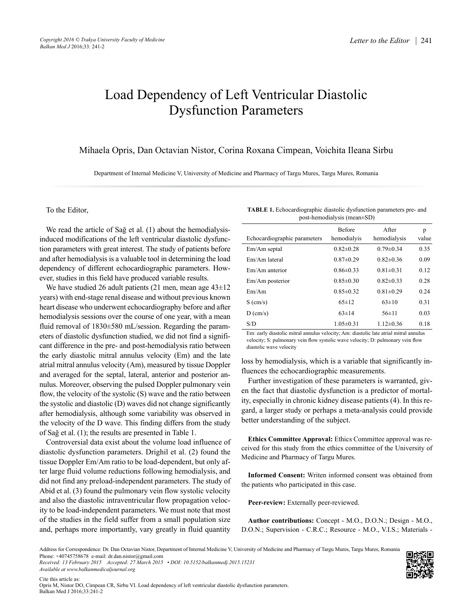# Load Dependency of Left Ventricular Diastolic Dysfunction Parameters

Mihaela Opris, Dan Octavian Nistor, Corina Roxana Cimpean, Voichita Ileana Sirbu

Department of Internal Medicine V, University of Medicine and Pharmacy of Targu Mures, Targu Mures, Romania

### To the Editor,

We read the article of Sağ et al. (1) about the hemodialysisinduced modifications of the left ventricular diastolic dysfunction parameters with great interest. The study of patients before and after hemodialysis is a valuable tool in determining the load dependency of different echocardiographic parameters. However, studies in this field have produced variable results.

We have studied 26 adult patients (21 men, mean age 43±12 years) with end-stage renal disease and without previous known heart disease who underwent echocardiography before and after hemodialysis sessions over the course of one year, with a mean fluid removal of 1830±580 mL/session. Regarding the parameters of diastolic dysfunction studied, we did not find a significant difference in the pre- and post-hemodialysis ratio between the early diastolic mitral annulus velocity (Em) and the late atrial mitral annulus velocity (Am), measured by tissue Doppler and averaged for the septal, lateral, anterior and posterior annulus. Moreover, observing the pulsed Doppler pulmonary vein flow, the velocity of the systolic (S) wave and the ratio between the systolic and diastolic (D) waves did not change significantly after hemodialysis, although some variability was observed in the velocity of the D wave. This finding differs from the study of Sağ et al. (1); the results are presented in Table 1.

Controversial data exist about the volume load influence of diastolic dysfunction parameters. Drighil et al. (2) found the tissue Doppler Em/Am ratio to be load-dependent, but only after large fluid volume reductions following hemodialysis, and did not find any preload-independent parameters. The study of Abid et al. (3) found the pulmonary vein flow systolic velocity and also the diastolic intraventricular flow propagation velocity to be load-independent parameters. We must note that most of the studies in the field suffer from a small population size and, perhaps more importantly, vary greatly in fluid quantity

| <b>TABLE 1.</b> Echocardiographic diastolic dysfunction parameters pre- and |
|-----------------------------------------------------------------------------|
| post-hemodialysis (mean $\pm$ SD)                                           |

| Echocardiographic parameters | <b>Before</b><br>hemodialyis | After<br>hemodialysis | p<br>value |
|------------------------------|------------------------------|-----------------------|------------|
| Em/Am septal                 | $0.82 \pm 0.28$              | $0.79 \pm 0.34$       | 0.35       |
| Em/Am lateral                | $0.87 \pm 0.29$              | $0.82 \pm 0.36$       | 0.09       |
| Em/Am anterior               | $0.86 \pm 0.33$              | $0.81 \pm 0.31$       | 0.12       |
| Em/Am posterior              | $0.85 \pm 0.30$              | $0.82 \pm 0.33$       | 0.28       |
| Em/Am                        | $0.85 \pm 0.32$              | $0.81 \pm 0.29$       | 0.24       |
| $S$ (cm/s)                   | $65 \pm 12$                  | $63\pm10$             | 0.31       |
| $D$ (cm/s)                   | $63 \pm 14$                  | 56±11                 | 0.03       |
| S/D                          | $1.05 \pm 0.31$              | $1.12\pm0.36$         | 0.18       |

Em: early diastolic mitral annulus velocity; Am: diastolic late atrial mitral annulus velocity; S: pulmonary vein flow systolic wave velocity; D: pulmonary vein flow diastolic wave velocity

loss by hemodialysis, which is a variable that significantly influences the echocardiographic measurements.

Further investigation of these parameters is warranted, given the fact that diastolic dysfunction is a predictor of mortality, especially in chronic kidney disease patients (4). In this regard, a larger study or perhaps a meta-analysis could provide better understanding of the subject.

**Ethics Committee Approval:** Ethics Committee approval was received for this study from the ethics committee of the University of Medicine and Pharmacy of Targu Mures.

**Informed Consent:** Writen informed consent was obtained from the patients who participated in this case.

**Peer-review:** Externally peer-reviewed.

**Author contributions:** Concept - M.O., D.O.N.; Design - M.O., D.O.N.; Supervision - C.R.C.; Resource - M.O., V.I.S.; Materials -

*Received: 13 February 2015 Accepted: 27 March 2015 • DOI: 10.5152/balkanmedj.2015.15231 Available at www.balkanmedicaljournal.org*

Address for Correspondence: Dr. Dan Octavian Nistor, Department of Internal Medicine V, University of Medicine and Pharmacy of Targu Mures, Targu Mures, Romania Phone: +40745758678 e-mail: dr.dan.nistor@gmail.com